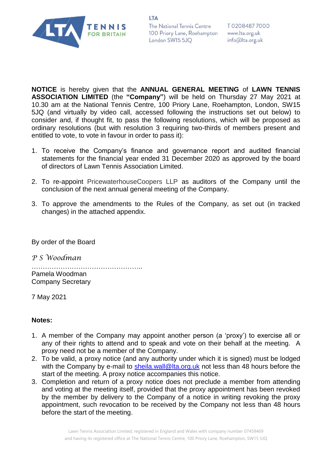

The National Tennis Centre The National Tennis Centre<br>100 Priory Lane, Roehampton<br>Land a SM45 E IO London SW15 5JQ

T02084877000 www.lta.org.uk info@lta.org.uk

**NOTICE** is hereby given that the **ANNUAL GENERAL MEETING** of **LAWN TENNIS ASSOCIATION LIMITED** (the **"Company"**) will be held on Thursday 27 May 2021 at 10.30 am at the National Tennis Centre, 100 Priory Lane, Roehampton, London, SW15 5JQ (and virtually by video call, accessed following the instructions set out below) to consider and, if thought fit, to pass the following resolutions, which will be proposed as ordinary resolutions (but with resolution 3 requiring two-thirds of members present and entitled to vote, to vote in favour in order to pass it):

- 1. To receive the Company's finance and governance report and audited financial statements for the financial year ended 31 December 2020 as approved by the board of directors of Lawn Tennis Association Limited.
- 2. To re-appoint PricewaterhouseCoopers LLP as auditors of the Company until the conclusion of the next annual general meeting of the Company.
- 3. To approve the amendments to the Rules of the Company, as set out (in tracked changes) in the attached appendix.

By order of the Board

*P S Woodman*

………………………………………….. Pamela Woodman Company Secretary

7 May 2021

#### **Notes:**

- 1. A member of the Company may appoint another person (a 'proxy') to exercise all or any of their rights to attend and to speak and vote on their behalf at the meeting. A proxy need not be a member of the Company.
- 2. To be valid, a proxy notice (and any authority under which it is signed) must be lodged with the Company by e-mail to [sheila.wall@lta.org.uk](mailto:sheila.wall@lta.org.uk) not less than 48 hours before the start of the meeting. A proxy notice accompanies this notice.
- 3. Completion and return of a proxy notice does not preclude a member from attending and voting at the meeting itself, provided that the proxy appointment has been revoked by the member by delivery to the Company of a notice in writing revoking the proxy appointment, such revocation to be received by the Company not less than 48 hours before the start of the meeting.

**LTA**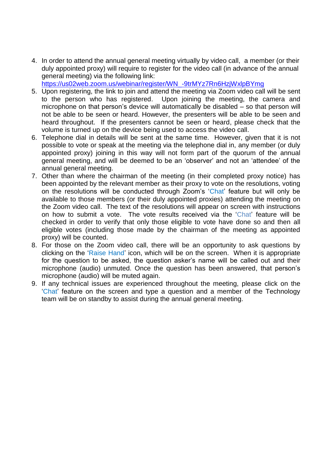4. In order to attend the annual general meeting virtually by video call, a member (or their duly appointed proxy) will require to register for the video call (in advance of the annual general meeting) via the following link:

[https://us02web.zoom.us/webinar/register/WN\\_-9trMYz7Rn6HzjWxlpBYmg](https://us02web.zoom.us/webinar/register/WN_-9trMYz7Rn6HzjWxlpBYmg)

- 5. Upon registering, the link to join and attend the meeting via Zoom video call will be sent to the person who has registered. Upon joining the meeting, the camera and microphone on that person's device will automatically be disabled – so that person will not be able to be seen or heard. However, the presenters will be able to be seen and heard throughout. If the presenters cannot be seen or heard, please check that the volume is turned up on the device being used to access the video call.
- 6. Telephone dial in details will be sent at the same time. However, given that it is not possible to vote or speak at the meeting via the telephone dial in, any member (or duly appointed proxy) joining in this way will not form part of the quorum of the annual general meeting, and will be deemed to be an 'observer' and not an 'attendee' of the annual general meeting.
- 7. Other than where the chairman of the meeting (in their completed proxy notice) has been appointed by the relevant member as their proxy to vote on the resolutions, voting on the resolutions will be conducted through Zoom's 'Chat' feature but will only be available to those members (or their duly appointed proxies) attending the meeting on the Zoom video call. The text of the resolutions will appear on screen with instructions on how to submit a vote. The vote results received via the 'Chat' feature will be checked in order to verify that only those eligible to vote have done so and then all eligible votes (including those made by the chairman of the meeting as appointed proxy) will be counted.
- 8. For those on the Zoom video call, there will be an opportunity to ask questions by clicking on the 'Raise Hand' icon, which will be on the screen. When it is appropriate for the question to be asked, the question asker's name will be called out and their microphone (audio) unmuted. Once the question has been answered, that person's microphone (audio) will be muted again.
- 9. If any technical issues are experienced throughout the meeting, please click on the 'Chat' feature on the screen and type a question and a member of the Technology team will be on standby to assist during the annual general meeting.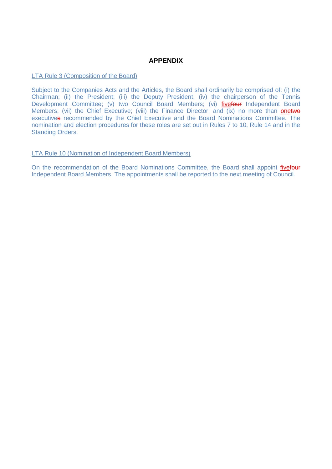#### **APPENDIX**

#### LTA Rule 3 (Composition of the Board)

Subject to the Companies Acts and the Articles, the Board shall ordinarily be comprised of: (i) the Chairman; (ii) the President; (iii) the Deputy President; (iv) the chairperson of the Tennis Development Committee; (v) two Council Board Members; (vi) fivefour Independent Board Members; (vii) the Chief Executive; (viii) the Finance Director; and (ix) no more than **onetwe** executives recommended by the Chief Executive and the Board Nominations Committee. The nomination and election procedures for these roles are set out in Rules 7 to 10, Rule 14 and in the Standing Orders.

#### LTA Rule 10 (Nomination of Independent Board Members)

On the recommendation of the Board Nominations Committee, the Board shall appoint fivefour Independent Board Members. The appointments shall be reported to the next meeting of Council.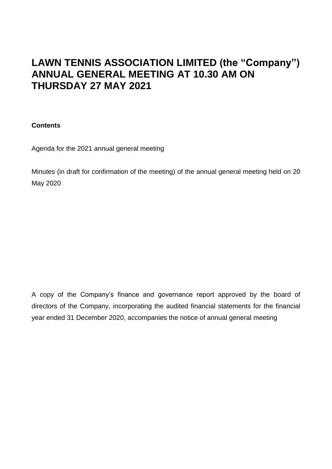# **LAWN TENNIS ASSOCIATION LIMITED (the "Company") ANNUAL GENERAL MEETING AT 10.30 AM ON THURSDAY 27 MAY 2021**

# **Contents**

Agenda for the 2021 annual general meeting

Minutes (in draft for confirmation of the meeting) of the annual general meeting held on 20 May 2020

A copy of the Company's finance and governance report approved by the board of directors of the Company, incorporating the audited financial statements for the financial year ended 31 December 2020, accompanies the notice of annual general meeting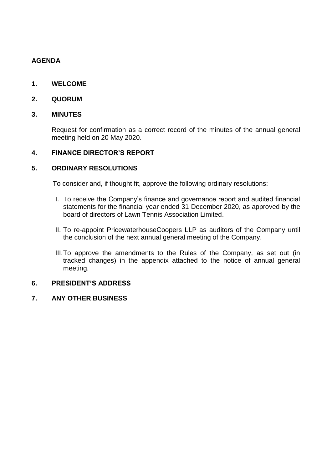#### **AGENDA**

## **1. WELCOME**

**2. QUORUM** 

#### **3. MINUTES**

Request for confirmation as a correct record of the minutes of the annual general meeting held on 20 May 2020.

## **4. FINANCE DIRECTOR'S REPORT**

## **5. ORDINARY RESOLUTIONS**

To consider and, if thought fit, approve the following ordinary resolutions:

- I. To receive the Company's finance and governance report and audited financial statements for the financial year ended 31 December 2020, as approved by the board of directors of Lawn Tennis Association Limited.
- II. To re-appoint PricewaterhouseCoopers LLP as auditors of the Company until the conclusion of the next annual general meeting of the Company.
- III.To approve the amendments to the Rules of the Company, as set out (in tracked changes) in the appendix attached to the notice of annual general meeting.

#### **6. PRESIDENT'S ADDRESS**

#### **7. ANY OTHER BUSINESS**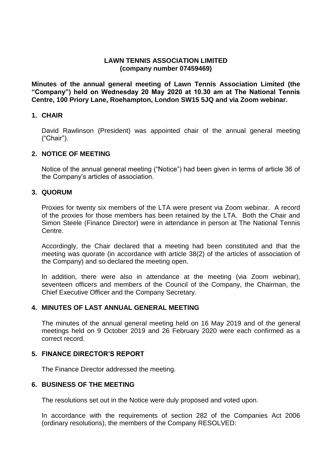#### **LAWN TENNIS ASSOCIATION LIMITED (company number 07459469)**

**Minutes of the annual general meeting of Lawn Tennis Association Limited (the "Company") held on Wednesday 20 May 2020 at 10.30 am at The National Tennis Centre, 100 Priory Lane, Roehampton, London SW15 5JQ and via Zoom webinar.**

#### **1. CHAIR**

David Rawlinson (President) was appointed chair of the annual general meeting ("Chair").

## **2. NOTICE OF MEETING**

Notice of the annual general meeting ("Notice") had been given in terms of article 36 of the Company's articles of association.

#### **3. QUORUM**

Proxies for twenty six members of the LTA were present via Zoom webinar. A record of the proxies for those members has been retained by the LTA. Both the Chair and Simon Steele (Finance Director) were in attendance in person at The National Tennis Centre.

Accordingly, the Chair declared that a meeting had been constituted and that the meeting was quorate (in accordance with article 38(2) of the articles of association of the Company) and so declared the meeting open.

In addition, there were also in attendance at the meeting (via Zoom webinar), seventeen officers and members of the Council of the Company, the Chairman, the Chief Executive Officer and the Company Secretary.

#### **4. MINUTES OF LAST ANNUAL GENERAL MEETING**

The minutes of the annual general meeting held on 16 May 2019 and of the general meetings held on 9 October 2019 and 26 February 2020 were each confirmed as a correct record.

#### **5. FINANCE DIRECTOR'S REPORT**

The Finance Director addressed the meeting.

#### **6. BUSINESS OF THE MEETING**

The resolutions set out in the Notice were duly proposed and voted upon.

In accordance with the requirements of section 282 of the Companies Act 2006 (ordinary resolutions), the members of the Company RESOLVED: